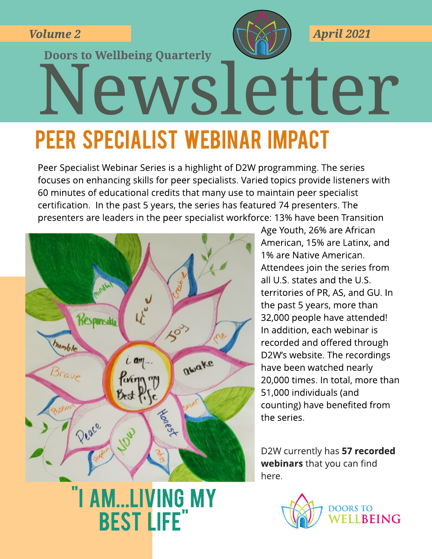**Volume 2**



**April 2021**

# Newsletter **Doors to Wellbeing Quarterly**

# PEER SPECIALIST WEBINAR IMPACT

Peer Specialist Webinar Series is a highlight of D2W programming. The series focuses on enhancing skills for peer specialists. Varied topics provide listeners with 60 minutes of educational credits that many use to maintain peer specialist certification. In the past 5 years, the series has featured 74 presenters. The presenters are leaders in the peer specialist workforce: 13% have been Transition



"I AM...LIVING MY best life

Age Youth, 26% are African American, 15% are Latinx, and 1% are Native American. Attendees join the series from all U.S. states and the U.S. territories of PR, AS, and GU. In the past 5 years, more than 32,000 people have attended! In addition, each webinar is recorded and offered through D2W's website. The recordings have been watched nearly 20,000 times. In total, more than 51,000 individuals (and counting) have benefited from the series.

D2W currently has 57 recorded webinars that you can find [here.](https://www.doorstowellbeing.org/webinars)

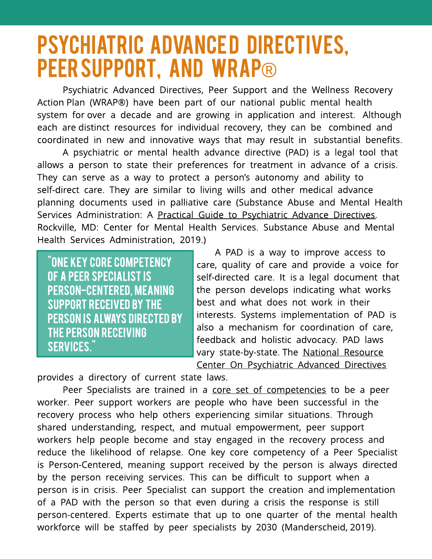# **PSYCHIATRIC ADVANCED DIRECTIVES,** PEER SUPPORT, AND WRAP®

Psychiatric Advanced Directives, Peer Support and the Wellness Recovery Action Plan (WRAP®) have been part of our national public mental health system for over a decade and are growing in application and interest. Although each are distinct resources for individual recovery, they can be combined and coordinated in new and innovative ways that may result in substantial benefits.

A psychiatric or mental health advance directive (PAD) is a legal tool that allows a person to state their preferences for treatment in advance of a crisis. They can serve as a way to protect a person's autonomy and ability to self-direct care. They are similar to living wills and other medical advance planning documents used in palliative care (Substance Abuse and Mental Health Services Administration: A [Practical](https://www.samhsa.gov/sites/default/files/a_practical_guide_to_psychiatric_advance_directives.pdf) [Guide](https://www.samhsa.gov/sites/default/files/a_practical_guide_to_psychiatric_advance_directives.pdf) [to](https://www.samhsa.gov/sites/default/files/a_practical_guide_to_psychiatric_advance_directives.pdf) [Psychiatric](https://www.samhsa.gov/sites/default/files/a_practical_guide_to_psychiatric_advance_directives.pdf) [Advance](https://www.samhsa.gov/sites/default/files/a_practical_guide_to_psychiatric_advance_directives.pdf) [Directives.](https://www.samhsa.gov/sites/default/files/a_practical_guide_to_psychiatric_advance_directives.pdf) Rockville, MD: Center for Mental Health Services. Substance Abuse and Mental Health Services Administration, 2019.)

"ONE KEY CORE COMPETENCY OF A PEER SPECIALIST IS PERSON-CENTERED, MEANING SUPPORT RECEIVED BY THE **PERSON IS ALWAYS DIRECTED BY** THE PERSON RECEIVING SERVICES."

A PAD is a way to improve access to care, quality of care and provide a voice for self-directed care. It is a legal document that the person develops indicating what works best and what does not work in their interests. Systems implementation of PAD is also a mechanism for coordination of care, feedback and holistic advocacy. PAD laws vary state-by-state. The [National](https://www.nrc-pad.org/) [Resource](https://www.nrc-pad.org/) [Center](https://www.nrc-pad.org/) [On](https://www.nrc-pad.org/) [Psychiatric](https://www.nrc-pad.org/) [Advanced](https://www.nrc-pad.org/) [Directives](https://www.nrc-pad.org/)

provides a directory of current state laws.

Peer Specialists are trained in a [core](https://www.samhsa.gov/brss-tacs/recovery-support-tools/peers/core-competencies-peer-workers) [set](https://www.samhsa.gov/brss-tacs/recovery-support-tools/peers/core-competencies-peer-workers) [of](https://www.samhsa.gov/brss-tacs/recovery-support-tools/peers/core-competencies-peer-workers) [competencies](https://www.samhsa.gov/brss-tacs/recovery-support-tools/peers/core-competencies-peer-workers) to be a peer worker. Peer support workers are people who have been successful in the recovery process who help others experiencing similar situations. Through shared understanding, respect, and mutual empowerment, peer support workers help people become and stay engaged in the recovery process and reduce the likelihood of relapse. One key core competency of a Peer Specialist is Person-Centered, meaning support received by the person is always directed by the person receiving services. This can be difficult to support when a person is in crisis. Peer Specialist can support the creation and implementation of a PAD with the person so that even during a crisis the response is still person-centered. Experts estimate that up to one quarter of the mental health workforce will be staffed by peer specialists by 2030 (Manderscheid, 2019).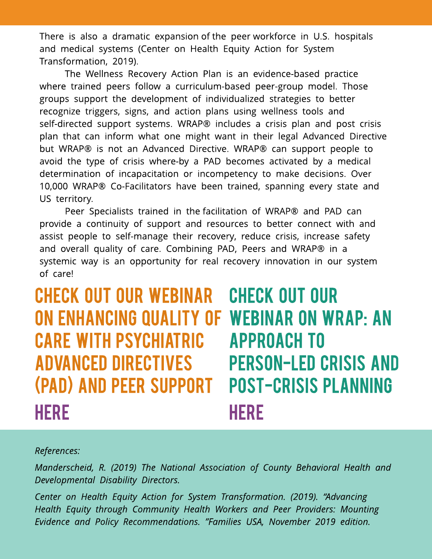There is also a dramatic expansion of the peer workforce in U.S. hospitals and medical systems (Center on Health Equity Action for System Transformation, 2019).

The Wellness Recovery Action Plan is an evidence-based practice where trained peers follow a curriculum-based peer-group model. Those groups support the development of individualized strategies to better recognize triggers, signs, and action plans using wellness tools and self-directed support systems. WRAP® includes a crisis plan and post crisis plan that can inform what one might want in their legal Advanced Directive but WRAP® is not an Advanced Directive. WRAP® can support people to avoid the type of crisis where-by a PAD becomes activated by a medical determination of incapacitation or incompetency to make decisions. Over 10,000 WRAP® Co-Facilitators have been trained, spanning every state and US territory.

Peer Specialists trained in the facilitation of WRAP® and PAD can provide a continuity of support and resources to better connect with and assist people to self-manage their recovery, reduce crisis, increase safety and overall quality of care. Combining PAD, Peers and WRAP® in a systemic way is an opportunity for real recovery innovation in our system of care!

Check out our webinar ON ENHANCING QUALITY OF WEBINAR ON WRAP: AN CARE WITH PSYCHIATRIC ADVANCED DIRECTIVES (PAD) AND PEER SUPPORT **HERE** check out our **APPROACH TO PERSON-LED CRISIS AND POST-CRISIS PLANNING HERE** 

#### **References:**

**Manderscheid, R. (2019) The National Association of County Behavioral Health and Developmental Disability Directors.**

**Center on Health Equity Action for System Transformation. (2019). ?Advancing Health Equity through Community Health Workers and Peer Providers: Mounting Evidence and Policy Recommendations. ?Families USA, November 2019 edition.**